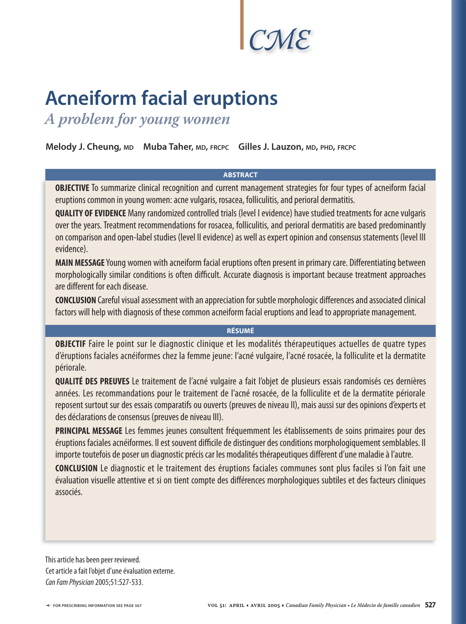# *CME*

# **Acneiform facial eruptions**

*A problem for young women*

**Melody J. Cheung, MD Muba Taher, MD, FRCPC Gilles J. Lauzon, MD, PHD, FRCPC**

### **ABSTRACT**

**OBJECTIVE** To summarize clinical recognition and current management strategies for four types of acneiform facial eruptions common in young women: acne vulgaris, rosacea, folliculitis, and perioral dermatitis.

**QUALITY OF EVIDENCE** Many randomized controlled trials (level I evidence) have studied treatments for acne vulgaris over the years. Treatment recommendations for rosacea, folliculitis, and perioral dermatitis are based predominantly on comparison and open-label studies (level II evidence) as well as expert opinion and consensus statements (level III evidence).

**MAIN MESSAGE** Young women with acneiform facial eruptions often present in primary care. Differentiating between morphologically similar conditions is often difficult. Accurate diagnosis is important because treatment approaches are different for each disease.

**CONCLUSION** Careful visual assessment with an appreciation for subtle morphologic differences and associated clinical factors will help with diagnosis of these common acneiform facial eruptions and lead to appropriate management.

# **RÉSUMÉ**

**OBJECTIF** Faire le point sur le diagnostic clinique et les modalités thérapeutiques actuelles de quatre types d'éruptions faciales acnéiformes chez la femme jeune: l'acné vulgaire, l'acné rosacée, la folliculite et la dermatite périorale.

**QUALITÉ DES PREUVES** Le traitement de l'acné vulgaire a fait l'objet de plusieurs essais randomisés ces dernières années. Les recommandations pour le traitement de l'acné rosacée, de la folliculite et de la dermatite périorale reposent surtout sur des essais comparatifs ou ouverts (preuves de niveau II), mais aussi sur des opinions d'experts et des déclarations de consensus (preuves de niveau III).

**PRINCIPAL MESSAGE** Les femmes jeunes consultent fréquemment les établissements de soins primaires pour des éruptions faciales acnéiformes. Il est souvent difficile de distinguer des conditions morphologiquement semblables. Il importe toutefois de poser un diagnostic précis car les modalités thérapeutiques diffèrent d'une maladie à l'autre.

**CONCLUSION** Le diagnostic et le traitement des éruptions faciales communes sont plus faciles si l'on fait une évaluation visuelle attentive et si on tient compte des différences morphologiques subtiles et des facteurs cliniques associés.

This article has been peer reviewed. Cet article a fait l'objet d'une évaluation externe. Can Fam Physician 2005;51:527-533.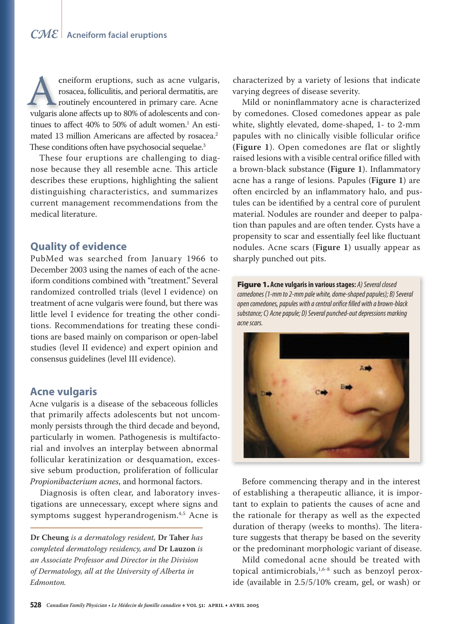cneiform eruptions, such as acne vulgaris, cneiform eruptions, such as acne vulgaris, rosacea, folliculitis, and perioral dermatitis, are rosacea, folliculitis, and perioral dermatitis, are routinely encountered in primary care. Acne che as a cone vulgaris,<br>rosacea, folliculitis, and perioral dermatitis, are<br>routinely encountered in primary care. Acne<br>vulgaris alone affects up to 80% of adolescents and continues to affect  $40\%$  to 50% of adult women.<sup>1</sup> An estimated 13 million Americans are affected by rosacea.<sup>2</sup> These conditions often have psychosocial sequelae.<sup>3</sup>

These four eruptions are challenging to diagnose because they all resemble acne. This article describes these eruptions, highlighting the salient distinguishing characteristics, and summarizes current management recommendations from the medical literature.

# **Quality of evidence**

PubMed was searched from January 1966 to December 2003 using the names of each of the acneiform conditions combined with "treatment." Several randomized controlled trials (level I evidence) on treatment of acne vulgaris were found, but there was little level I evidence for treating the other conditions. Recommendations for treating these conditions are based mainly on comparison or open-label studies (level II evidence) and expert opinion and consensus guidelines (level III evidence).

# **Acne vulgaris**

Acne vulgaris is a disease of the sebaceous follicles that primarily affects adolescents but not uncommonly persists through the third decade and beyond, particularly in women. Pathogenesis is multifactorial and involves an interplay between abnormal follicular keratinization or desquamation, excessive sebum production, proliferation of follicular *Propionibacterium acnes*, and hormonal factors.

Diagnosis is often clear, and laboratory investigations are unnecessary, except where signs and symptoms suggest hyperandrogenism.4,5 Acne is

**Dr Cheung** *is a dermatology resident,* **Dr Taher** *has completed dermatology residency, and* **Dr Lauzon** *is an Associate Professor and Director in the Division of Dermatology, all at the University of Alberta in Edmonton.*

characterized by a variety of lesions that indicate varying degrees of disease severity.

Mild or noninflammatory acne is characterized by comedones. Closed comedones appear as pale white, slightly elevated, dome-shaped, 1- to 2-mm papules with no clinically visible follicular orifice **(Figure 1**). Open comedones are flat or slightly raised lesions with a visible central orifice filled with a brown-black substance (Figure 1). Inflammatory acne has a range of lesions. Papules (**Figure 1**) are often encircled by an inflammatory halo, and pustules can be identified by a central core of purulent material. Nodules are rounder and deeper to palpation than papules and are often tender. Cysts have a propensity to scar and essentially feel like fluctuant nodules. Acne scars (**Figure 1**) usually appear as sharply punched out pits.

Figure 1. **Acne vulgaris in various stages:** A) Several closed comedones (1-mm to 2-mm pale white, dome-shaped papules); B) Several open comedones, papules with a central orifice filled with a brown-black substance; C) Acne papule; D) Several punched-out depressions marking acne scars.



Before commencing therapy and in the interest of establishing a therapeutic alliance, it is important to explain to patients the causes of acne and the rationale for therapy as well as the expected duration of therapy (weeks to months). The literature suggests that therapy be based on the severity or the predominant morphologic variant of disease.

Mild comedonal acne should be treated with topical antimicrobials, $1,6-8$  such as benzoyl peroxide (available in 2.5/5/10% cream, gel, or wash) or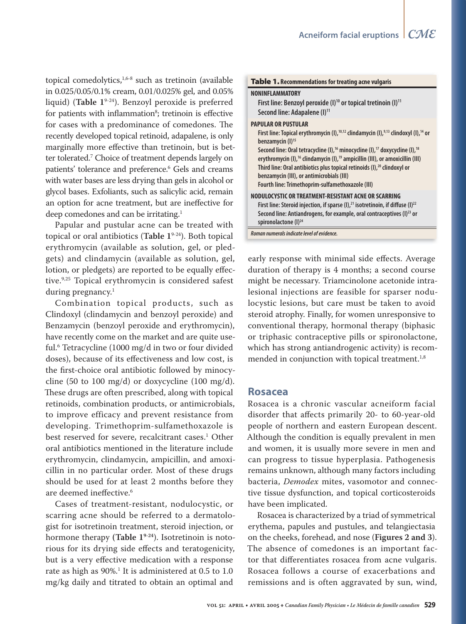topical comedolytics,<sup>1,6-8</sup> such as tretinoin (available in 0.025/0.05/0.1% cream, 0.01/0.025% gel, and 0.05% liquid) (**Table 1**9-24). Benzoyl peroxide is preferred for patients with inflammation<sup>8</sup>; tretinoin is effective for cases with a predominance of comedones. The recently developed topical retinoid, adapalene, is only marginally more effective than tretinoin, but is better tolerated.7 Choice of treatment depends largely on patients' tolerance and preference.<sup>6</sup> Gels and creams with water bases are less drying than gels in alcohol or glycol bases. Exfoliants, such as salicylic acid, remain an option for acne treatment, but are ineffective for deep comedones and can be irritating.<sup>1</sup>

Papular and pustular acne can be treated with topical or oral antibiotics (**Table 1**9-24). Both topical erythromycin (available as solution, gel, or pledgets) and clindamycin (available as solution, gel, lotion, or pledgets) are reported to be equally effective.9,25 Topical erythromycin is considered safest during pregnancy.<sup>1</sup>

Combination topical products, such as Clindoxyl (clindamycin and benzoyl peroxide) and Benzamycin (benzoyl peroxide and erythromycin), have recently come on the market and are quite useful.6 Tetracycline (1000 mg/d in two or four divided doses), because of its effectiveness and low cost, is the first-choice oral antibiotic followed by minocycline (50 to 100 mg/d) or doxycycline (100 mg/d). These drugs are often prescribed, along with topical retinoids, combination products, or antimicrobials, to improve efficacy and prevent resistance from developing. Trimethoprim-sulfamethoxazole is best reserved for severe, recalcitrant cases.<sup>1</sup> Other oral antibiotics mentioned in the literature include erythromycin, clindamycin, ampicillin, and amoxicillin in no particular order. Most of these drugs should be used for at least 2 months before they are deemed ineffective.<sup>6</sup>

Cases of treatment-resistant, nodulocystic, or scarring acne should be referred to a dermatologist for isotretinoin treatment, steroid injection, or hormone therapy **(Table 19-24**). Isotretinoin is notorious for its drying side effects and teratogenicity, but is a very effective medication with a response rate as high as 90%.1 It is administered at 0.5 to 1.0 mg/kg daily and titrated to obtain an optimal and

| <b>Table 1.</b> Recommendations for treating acne vulgaris                                                                                                                                                                                                                                                                                                                                                                                                                                                                                                                              |
|-----------------------------------------------------------------------------------------------------------------------------------------------------------------------------------------------------------------------------------------------------------------------------------------------------------------------------------------------------------------------------------------------------------------------------------------------------------------------------------------------------------------------------------------------------------------------------------------|
| <b>NONINFLAMMATORY</b><br>First line: Benzoyl peroxide $(I)^{10}$ or topical tretinoin $(I)^{11}$<br>Second line: Adapalene (I) <sup>11</sup>                                                                                                                                                                                                                                                                                                                                                                                                                                           |
| <b>PAPULAR OR PUSTULAR</b><br>First line: Topical erythromycin (I), $^{10,12}$ clindamycin (I), $^{9,13}$ clindoxyl (I), $^{14}$ or<br>benzamycin (I) <sup>15</sup><br>Second line: Oral tetracycline (I), <sup>16</sup> minocycline (I), <sup>17</sup> doxycycline (I), <sup>18</sup><br>erythromycin (I), <sup>16</sup> clindamycin (I), <sup>19</sup> ampicillin (III), or amoxicillin (III)<br>Third line: Oral antibiotics plus topical retinoids (I), <sup>20</sup> clindoxyl or<br>benzamycin (III), or antimicrobials (III)<br>Fourth line: Trimethoprim-sulfamethoxazole (III) |
| NODULOCYSTIC OR TREATMENT-RESISTANT ACNE OR SCARRING<br>First line: Steroid injection, if sparse $(l)$ , $l^2$ isotretinoin, if diffuse $(l)$ $l^2$<br>Second line: Antiandrogens, for example, oral contraceptives (I) <sup>23</sup> or<br>spironolactone $(I)^{24}$                                                                                                                                                                                                                                                                                                                   |
| Roman numerals indicate level of evidence.                                                                                                                                                                                                                                                                                                                                                                                                                                                                                                                                              |

early response with minimal side effects. Average duration of therapy is 4 months; a second course might be necessary. Triamcinolone acetonide intralesional injections are feasible for sparser nodulocystic lesions, but care must be taken to avoid steroid atrophy. Finally, for women unresponsive to conventional therapy, hormonal therapy (biphasic or triphasic contraceptive pills or spironolactone, which has strong antiandrogenic activity) is recommended in conjunction with topical treatment.<sup>1,8</sup>

## **Rosacea**

Rosacea is a chronic vascular acneiform facial disorder that affects primarily 20- to 60-year-old people of northern and eastern European descent. Although the condition is equally prevalent in men and women, it is usually more severe in men and can progress to tissue hyperplasia. Pathogenesis remains unknown, although many factors including bacteria, *Demodex* mites, vasomotor and connective tissue dysfunction, and topical corticosteroids have been implicated.

Rosacea is characterized by a triad of symmetrical erythema, papules and pustules, and telangiectasia on the cheeks, forehead, and nose (**Figures 2 and 3**). The absence of comedones is an important factor that differentiates rosacea from acne vulgaris. Rosacea follows a course of exacerbations and remissions and is often aggravated by sun, wind,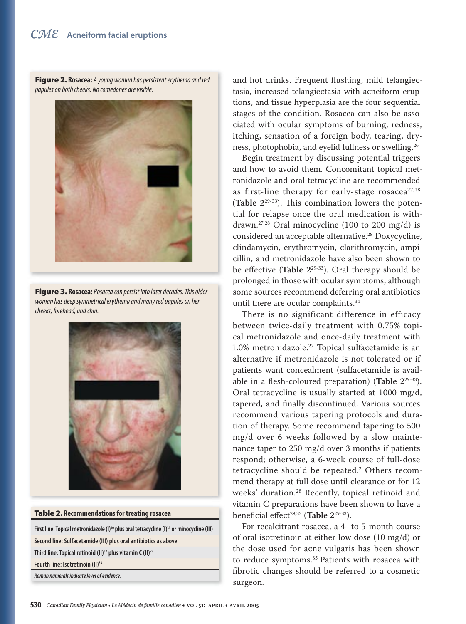# *CME* **Acneiform facial eruptions**

Figure 2. **Rosacea:** A young woman has persistent erythema and red papules on both cheeks. No comedones are visible.



Figure 3. **Rosacea:** Rosacea can persist into later decades. This older woman has deep symmetrical erythema and many red papules on her cheeks, forehead, and chin.



#### Table 2. **Recommendations for treating rosacea**

First line: Topical metronidazole (I)<sup>30</sup> plus oral tetracycline (I)<sup>31</sup> or minocycline (III) **Second line: Sulfacetamide (III) plus oral antibiotics as above Third line: Topical retinoid (II)32 plus vitamin C (II)29 Fourth line: Isotretinoin (II)33 Roman numerals indicate level of evidence.**

and hot drinks. Frequent flushing, mild telangiectasia, increased telangiectasia with acneiform eruptions, and tissue hyperplasia are the four sequential stages of the condition. Rosacea can also be associated with ocular symptoms of burning, redness, itching, sensation of a foreign body, tearing, dryness, photophobia, and eyelid fullness or swelling.26

Begin treatment by discussing potential triggers and how to avoid them. Concomitant topical metronidazole and oral tetracycline are recommended as first-line therapy for early-stage rosacea<sup>27,28</sup> (Table  $2^{29-33}$ ). This combination lowers the potential for relapse once the oral medication is withdrawn.<sup>27,28</sup> Oral minocycline (100 to 200 mg/d) is considered an acceptable alternative.<sup>28</sup> Doxycycline, clindamycin, erythromycin, clarithromycin, ampicillin, and metronidazole have also been shown to be effective (Table 2<sup>29-33</sup>). Oral therapy should be prolonged in those with ocular symptoms, although some sources recommend deferring oral antibiotics until there are ocular complaints.34

There is no significant difference in efficacy between twice-daily treatment with 0.75% topical metronidazole and once-daily treatment with 1.0% metronidazole.27 Topical sulfacetamide is an alternative if metronidazole is not tolerated or if patients want concealment (sulfacetamide is available in a flesh-coloured preparation) (Table 2<sup>29-33</sup>). Oral tetracycline is usually started at 1000 mg/d, tapered, and finally discontinued. Various sources recommend various tapering protocols and duration of therapy. Some recommend tapering to 500 mg/d over 6 weeks followed by a slow maintenance taper to 250 mg/d over 3 months if patients respond; otherwise, a 6-week course of full-dose tetracycline should be repeated.2 Others recommend therapy at full dose until clearance or for 12 weeks' duration.28 Recently, topical retinoid and vitamin C preparations have been shown to have a beneficial effect<sup>29,32</sup> (Table 2<sup>29-33</sup>).

For recalcitrant rosacea, a 4- to 5-month course of oral isotretinoin at either low dose (10 mg/d) or the dose used for acne vulgaris has been shown to reduce symptoms.<sup>35</sup> Patients with rosacea with fibrotic changes should be referred to a cosmetic surgeon.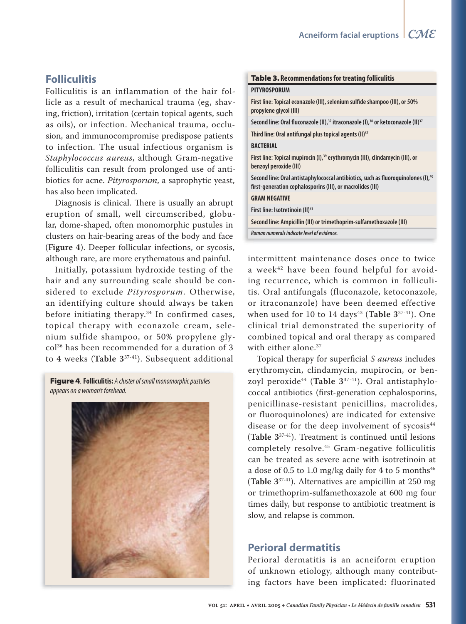# **Folliculitis**

Folliculitis is an inflammation of the hair follicle as a result of mechanical trauma (eg, shaving, friction), irritation (certain topical agents, such as oils), or infection. Mechanical trauma, occlusion, and immunocompromise predispose patients to infection. The usual infectious organism is *Staphylococcus aureus*, although Gram-negative folliculitis can result from prolonged use of antibiotics for acne. *Pityrosporum*, a saprophytic yeast, has also been implicated.

Diagnosis is clinical. There is usually an abrupt eruption of small, well circumscribed, globular, dome-shaped, often monomorphic pustules in clusters on hair-bearing areas of the body and face (**Figure 4**). Deeper follicular infections, or sycosis, although rare, are more erythematous and painful.

Initially, potassium hydroxide testing of the hair and any surrounding scale should be considered to exclude *Pityrosporum*. Otherwise, an identifying culture should always be taken before initiating therapy.34 In confirmed cases, topical therapy with econazole cream, selenium sulfide shampoo, or 50% propylene glycol36 has been recommended for a duration of 3 to 4 weeks (**Table 3**37-41). Subsequent additional

Figure 4. **Folliculitis:** A cluster of small monomorphic pustules appears on a woman's forehead.



#### Table 3. **Recommendations for treating folliculitis**

#### **PITYROSPORUM**

First line: Topical econazole (III), selenium sulfide shampoo (III), or 50% **propylene glycol (III)**

Second line: Oral fluconazole (II),<sup>37</sup> itraconazole (I),<sup>38</sup> or ketoconazole (II)<sup>37</sup>

**Third line: Oral antifungal plus topical agents (II)37**

#### **BACTERIAL**

**First line: Topical mupirocin (I),39 erythromycin (III), clindamycin (III), or benzoyl peroxide (III)**

Second line: Oral antistaphylococcal antibiotics, such as fluoroquinolones (I),<sup>40</sup> first-generation cephalosporins (III), or macrolides (III)

#### **GRAM NEGATIVE**

**First line: Isotretinoin (II)41**

**Second line: Ampicillin (III) or trimethoprim-sulfamethoxazole (III)**

**Roman numerals indicate level of evidence.**

intermittent maintenance doses once to twice a week<sup>42</sup> have been found helpful for avoiding recurrence, which is common in folliculitis. Oral antifungals (fluconazole, ketoconazole, or itraconanzole) have been deemed effective when used for 10 to 14 days<sup>43</sup> (Table 3<sup>37-41</sup>). One clinical trial demonstrated the superiority of combined topical and oral therapy as compared with either alone.<sup>37</sup>

Topical therapy for superficial *S aureus* includes erythromycin, clindamycin, mupirocin, or benzoyl peroxide44 (**Table 3**37-41). Oral antistaphylococcal antibiotics (first-generation cephalosporins, penicillinase-resistant penicillins, macrolides, or fluoroquinolones) are indicated for extensive disease or for the deep involvement of  $sycosis^{44}$ (**Table 3**37-41). Treatment is continued until lesions completely resolve.45 Gram-negative folliculitis can be treated as severe acne with isotretinoin at a dose of 0.5 to 1.0 mg/kg daily for 4 to 5 months $46$ (**Table 3**37-41). Alternatives are ampicillin at 250 mg or trimethoprim-sulfamethoxazole at 600 mg four times daily, but response to antibiotic treatment is slow, and relapse is common.

# **Perioral dermatitis**

Perioral dermatitis is an acneiform eruption of unknown etiology, although many contributing factors have been implicated: fluorinated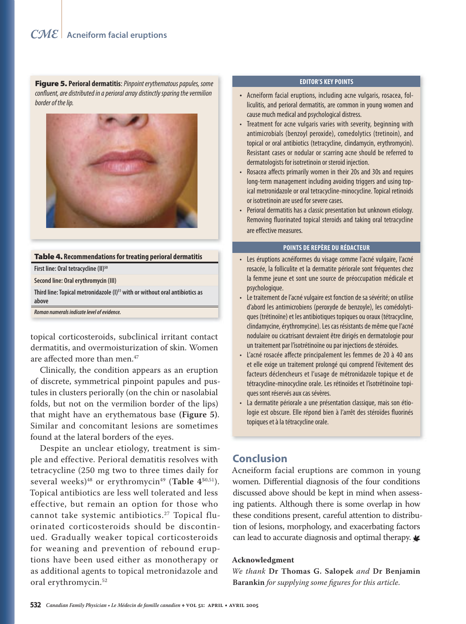Figure 5. Perioral dermatitis: Pinpoint erythematous papules, some confluent, are distributed in a perioral array distinctly sparing the vermilion border of the lip.



#### Table 4. **Recommendations for treating perioral dermatitis**

**First line: Oral tetracycline (II)50**

**Second line: Oral erythromycin (III)**

Third line: Topical metronidazole (I)<sup>51</sup> with or without oral antibiotics as **above**

**Roman numerals indicate level of evidence.**

topical corticosteroids, subclinical irritant contact dermatitis, and overmoisturization of skin. Women are affected more than men.<sup>47</sup>

Clinically, the condition appears as an eruption of discrete, symmetrical pinpoint papules and pustules in clusters periorally (on the chin or nasolabial folds, but not on the vermilion border of the lips) that might have an erythematous base **(Figure 5)**. Similar and concomitant lesions are sometimes found at the lateral borders of the eyes.

Despite an unclear etiology, treatment is simple and effective. Perioral dematitis resolves with tetracycline (250 mg two to three times daily for several weeks)<sup>48</sup> or erythromycin<sup>49</sup> (Table 4<sup>50,51</sup>). Topical antibiotics are less well tolerated and less effective, but remain an option for those who cannot take systemic antibiotics.<sup>27</sup> Topical fluorinated corticosteroids should be discontinued. Gradually weaker topical corticosteroids for weaning and prevention of rebound eruptions have been used either as monotherapy or as additional agents to topical metronidazole and oral erythromycin.52

#### **EDITOR'S KEY POINTS**

- Acneiform facial eruptions, including acne vulgaris, rosacea, folliculitis, and perioral dermatitis, are common in young women and cause much medical and psychological distress.
- Treatment for acne vulgaris varies with severity, beginning with antimicrobials (benzoyl peroxide), comedolytics (tretinoin), and topical or oral antibiotics (tetracycline, clindamycin, erythromycin). Resistant cases or nodular or scarring acne should be referred to dermatologists for isotretinoin or steroid injection.
- Rosacea affects primarily women in their 20s and 30s and requires long-term management including avoiding triggers and using topical metronidazole or oral tetracycline-minocycline. Topical retinoids or isotretinoin are used for severe cases.
- Perioral dermatitis has a classic presentation but unknown etiology. Removing fluorinated topical steroids and taking oral tetracycline are effective measures.

#### **POINTS DE REPÈRE DU RÉDACTEUR**

- Les éruptions acnéiformes du visage comme l'acné vulgaire, l'acné rosacée, la folliculite et la dermatite périorale sont fréquentes chez la femme jeune et sont une source de préoccupation médicale et psychologique.
- Le traitement de l'acné vulgaire est fonction de sa sévérité; on utilise d'abord les antimicrobiens (peroxyde de benzoyle), les comédolytiques (trétinoïne) et les antibiotiques topiques ou oraux (tétracycline, clindamycine, érythromycine). Les cas résistants de même que l'acné nodulaire ou cicatrisant devraient être dirigés en dermatologie pour un traitement par l'isotrétinoïne ou par injections de stéroïdes.
- L'acné rosacée affecte principalement les femmes de 20 à 40 ans et elle exige un traitement prolongé qui comprend l'évitement des facteurs déclencheurs et l'usage de métronidazole topique et de tétracycline-minocycline orale. Les rétinoïdes et l'isotrétinoïne topiques sont réservés aux cas sévères.
- La dermatite périorale a une présentation classique, mais son étiologie est obscure. Elle répond bien à l'arrêt des stéroïdes fluorinés topiques et à la tétracycline orale.

# **Conclusion**

Acneiform facial eruptions are common in young women. Differential diagnosis of the four conditions discussed above should be kept in mind when assessing patients. Although there is some overlap in how these conditions present, careful attention to distribution of lesions, morphology, and exacerbating factors can lead to accurate diagnosis and optimal therapy.

#### **Acknowledgment**

*We thank* **Dr Thomas G. Salopek** *and* **Dr Benjamin**  Barankin for supplying some figures for this article.